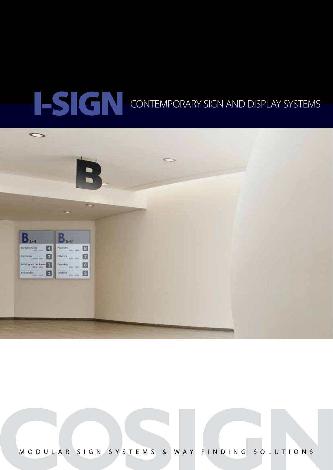# I-SIGN CONTEMPORARY SIGN AND DISPLAY SYSTEMS



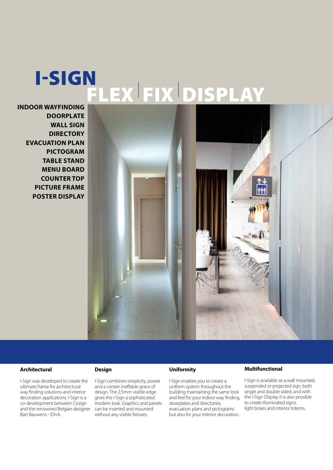# I-SIGN FLEX FIX DISPLAY

**indoor wayfinding doorplate wall sign directory evacuation plan pictogram table stand menu board counter top picture frame poster display**



## **Architectural**

### **Design**

I-Sign was developed to create the ultimate frame for architectural way finding solutions and interior decoration applications. I-Sign is a co-development between Cosign and the renowned Belgian designer Bart Bauwens - IDnA.

I-Sign combines simplicity, power and a certain ineffable grace of design. The 2,5mm visible edge gives the I-Sign a sophisticated modern look. Graphics and panels can be inserted and mounted without any visible fixtures.

## **Uniformity**

I-Sign enables you to create a uniform system throughout the building maintaining the same look and feel for your indoor way finding, doorplates and directories, evacuation plans and pictograms but also for your interior decoration.

## **Multifunctional**

I-Sign is available as a wall mounted, suspended or projected sign, both single and double sided, and with the I-Sign Display it is also possible to create illuminated signs, light boxes and interior totems.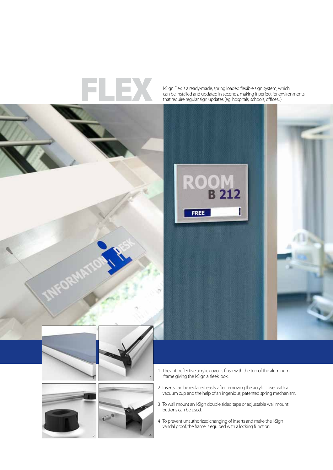







1

- The anti-reflective acrylic cover is flush with the top of the aluminum frame giving the I-Sign a sleek look.
- Inserts can be replaced easily after removing the acrylic cover with a vacuum cup and the help of an ingenious, patented spring mechanism. 2
- To wall mount an I-Sign double sided tape or adjustable wall mount buttons can be used. 3
- To prevent unauthorized changing of inserts and make the I-Sign vandal proof, the frame is equiped with a locking function. 4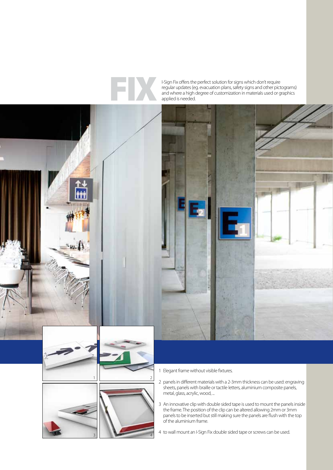FSign Fix offers the perfect solution for signs which don't require regular updates (eg. evacuation plans, safety signs and other pict and where a high degree of customization in materials used or g applied is needed. regular updates (eg. evacuation plans, safety signs and other pictograms) and where a high degree of customization in materials used or graphics applied is needed.





- Elegant frame without visible fixtures. 1
- panels in different materials with a 2-3mm thickness can be used: engraving 2 sheets, panels with braille or tactile letters, aluminium composite panels, metal, glass, acrylic, wood, ...
- An innovative clip with double sided tape is used to mount the panels inside the frame. The position of the clip can be altered allowing 2mm or 3mm panels to be inserted but still making sure the panels are flush with the top of the aluminium frame.
- 4 to wall mount an I-Sign Fix double sided tape or screws can be used.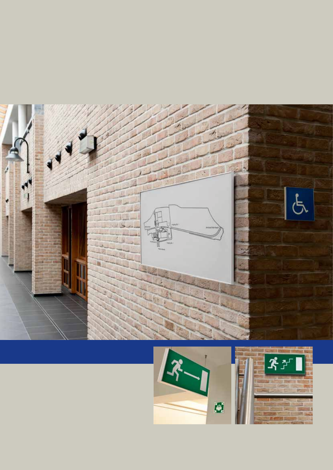

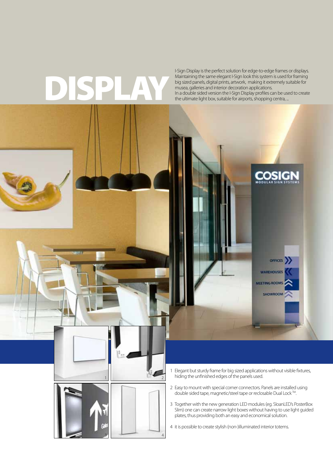# DISPLAY

1 2

3 4

I-Sign Display is the perfect solution for edge-to-edge frames or displays. Maintaining the same elegant I-Sign look this system is used for framing big sized panels, digital prints, artwork, making it extremely suitable for musea, galleries and interior decoration applications. In a double sided version the I-Sign Display profiles can be used to create the ultimate light box, suitable for airports, shopping centra, ...



- Elegant but sturdy frame for big sized applications without visible fixtures, 1 hiding the unfinished edges of the panels used.
- 2 Easy to mount with special corner connectors. Panels are installed using double sided tape, magnetic/steel tape or reclosable Dual Lock TM.
- Together with the new generation LED modules (eg. SloanLED's PosterBox 3 Slim) one can create narrow light boxes without having to use light guided plates, thus providing both an easy and economical solution.
- 4 it is possible to create stylish (non-)illuminated interior totems.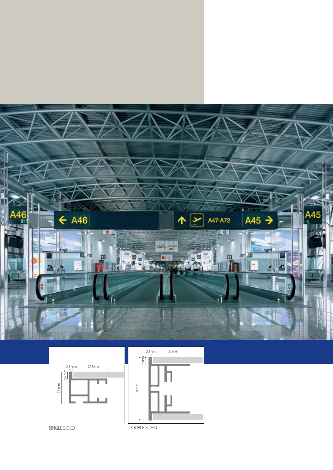





SINGLE SIDED DOUBLE SIDED